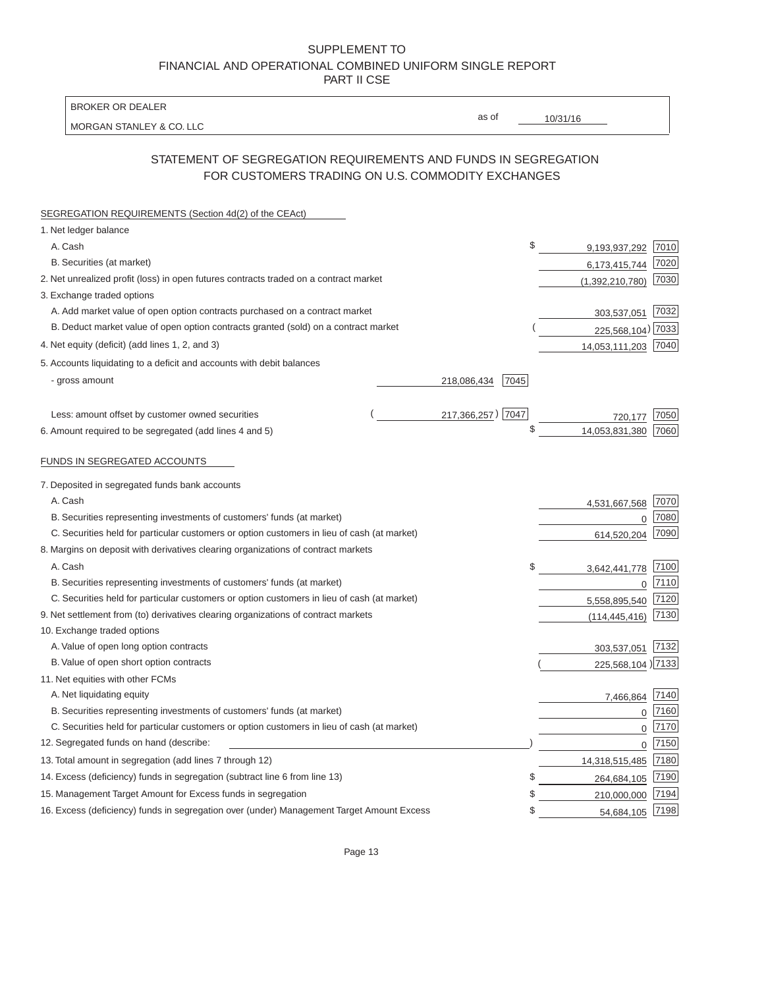| <b>BROKER OR DEALER</b>                                                                                             |                      |    |                   |      |
|---------------------------------------------------------------------------------------------------------------------|----------------------|----|-------------------|------|
| MORGAN STANLEY & CO. LLC                                                                                            | as of                |    | 10/31/16          |      |
| STATEMENT OF SEGREGATION REQUIREMENTS AND FUNDS IN SEGREGATION<br>FOR CUSTOMERS TRADING ON U.S. COMMODITY EXCHANGES |                      |    |                   |      |
| SEGREGATION REQUIREMENTS (Section 4d(2) of the CEAct)                                                               |                      |    |                   |      |
| 1. Net ledger balance                                                                                               |                      |    |                   |      |
| A. Cash                                                                                                             |                      | \$ | 9,193,937,292     | 7010 |
| B. Securities (at market)                                                                                           |                      |    | 6,173,415,744     | 7020 |
| 2. Net unrealized profit (loss) in open futures contracts traded on a contract market                               |                      |    | (1,392,210,780)   | 7030 |
| 3. Exchange traded options                                                                                          |                      |    |                   |      |
| A. Add market value of open option contracts purchased on a contract market                                         |                      |    | 303,537,051       | 7032 |
| B. Deduct market value of open option contracts granted (sold) on a contract market                                 |                      |    | 225,568,104)      | 7033 |
| 4. Net equity (deficit) (add lines 1, 2, and 3)                                                                     |                      |    | 14,053,111,203    | 7040 |
| 5. Accounts liquidating to a deficit and accounts with debit balances                                               |                      |    |                   |      |
| - gross amount                                                                                                      | 7045<br>218,086,434  |    |                   |      |
| Less: amount offset by customer owned securities                                                                    | 7047<br>217,366,257) |    | 720,177           | 7050 |
| 6. Amount required to be segregated (add lines 4 and 5)                                                             |                      | \$ | 14,053,831,380    | 7060 |
| FUNDS IN SEGREGATED ACCOUNTS                                                                                        |                      |    |                   |      |
| 7. Deposited in segregated funds bank accounts                                                                      |                      |    |                   |      |
| A. Cash                                                                                                             |                      |    | 4,531,667,568     | 7070 |
| B. Securities representing investments of customers' funds (at market)                                              |                      |    | 0                 | 7080 |
| C. Securities held for particular customers or option customers in lieu of cash (at market)                         |                      |    | 614,520,204       | 7090 |
| 8. Margins on deposit with derivatives clearing organizations of contract markets                                   |                      |    |                   |      |
| A. Cash                                                                                                             |                      | \$ | 3,642,441,778     | 7100 |
| B. Securities representing investments of customers' funds (at market)                                              |                      |    | 0                 | 7110 |
| C. Securities held for particular customers or option customers in lieu of cash (at market)                         |                      |    | 5,558,895,540     | 7120 |
| 9. Net settlement from (to) derivatives clearing organizations of contract markets                                  |                      |    | (114, 445, 416)   | 7130 |
| 10. Exchange traded options                                                                                         |                      |    |                   |      |
| A. Value of open long option contracts                                                                              |                      |    | 303,537,051       | 7132 |
| B. Value of open short option contracts                                                                             |                      |    | 225,568,104) 7133 |      |
| 11. Net equities with other FCMs                                                                                    |                      |    |                   |      |
| A. Net liquidating equity                                                                                           |                      |    | 7,466,864         | 7140 |
| B. Securities representing investments of customers' funds (at market)                                              |                      |    | 0                 | 7160 |
| C. Securities held for particular customers or option customers in lieu of cash (at market)                         |                      |    | 0                 | 7170 |
| 12. Segregated funds on hand (describe:                                                                             |                      |    | 0                 | 7150 |
| 13. Total amount in segregation (add lines 7 through 12)                                                            |                      |    | 14,318,515,485    | 7180 |
| 14. Excess (deficiency) funds in segregation (subtract line 6 from line 13)                                         |                      | S  | 264,684,105       | 7190 |
| 15. Management Target Amount for Excess funds in segregation                                                        |                      | S  | 210,000,000       | 7194 |
| 16. Excess (deficiency) funds in segregation over (under) Management Target Amount Excess                           |                      | \$ | 54,684,105 7198   |      |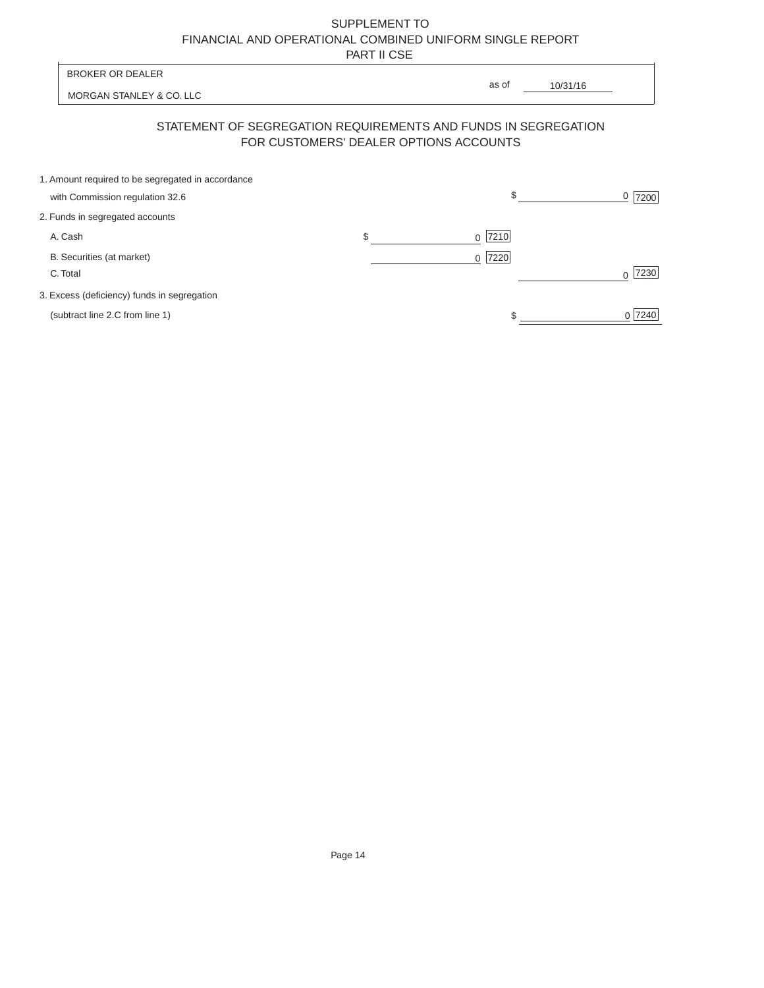|          |                                                                                      |                                        | . <i>.</i> |           |          |                |
|----------|--------------------------------------------------------------------------------------|----------------------------------------|------------|-----------|----------|----------------|
|          | <b>BROKER OR DEALER</b>                                                              |                                        |            | as of     | 10/31/16 |                |
|          | MORGAN STANLEY & CO. LLC                                                             |                                        |            |           |          |                |
|          | STATEMENT OF SEGREGATION REQUIREMENTS AND FUNDS IN SEGREGATION                       | FOR CUSTOMERS' DEALER OPTIONS ACCOUNTS |            |           |          |                |
|          | 1. Amount required to be segregated in accordance<br>with Commission regulation 32.6 |                                        |            | \$        |          | 0<br>7200      |
|          | 2. Funds in segregated accounts                                                      |                                        |            |           |          |                |
| A. Cash  |                                                                                      | \$                                     |            | $0$  7210 |          |                |
| C. Total | B. Securities (at market)                                                            |                                        |            | 7220<br>0 |          | 7230<br>$\cap$ |
|          | 3. Excess (deficiency) funds in segregation                                          |                                        |            |           |          |                |
|          | (subtract line 2.C from line 1)                                                      |                                        |            | \$        |          | 7240<br>0      |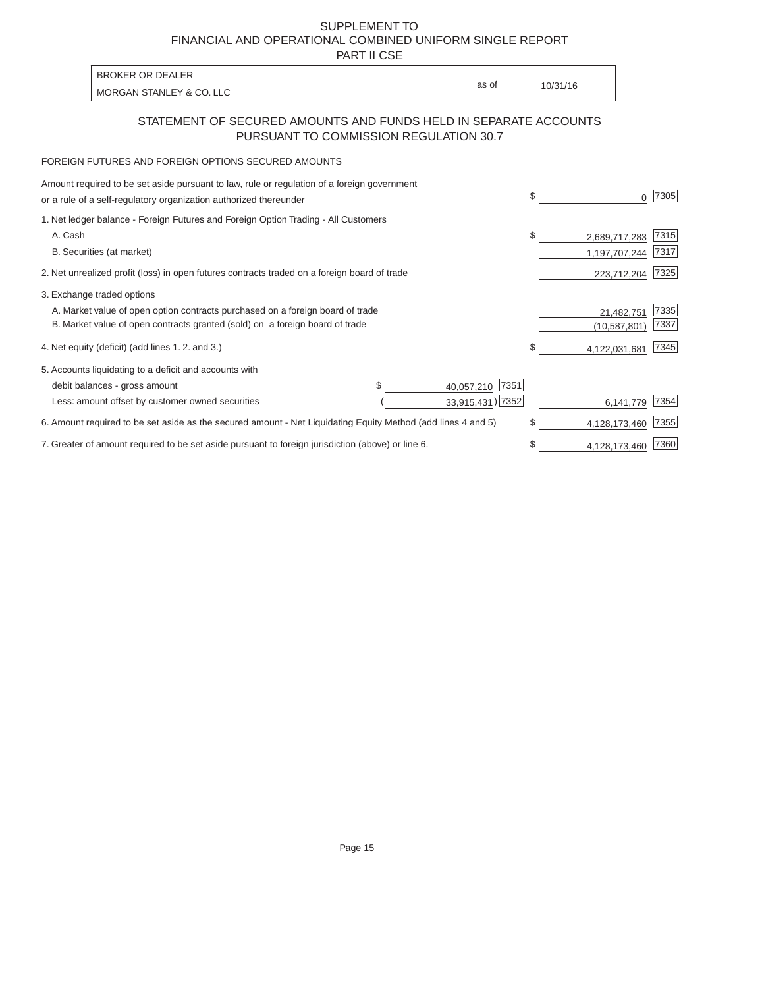PART II CSE

| <b>BROKER OR DEALER</b>  |       |          |
|--------------------------|-------|----------|
| MORGAN STANLEY & CO. LLC | as of | 10/31/16 |

### STATEMENT OF SECURED AMOUNTS AND FUNDS HELD IN SEPARATE ACCOUNTS PURSUANT TO COMMISSION REGULATION 30.7

### FOREIGN FUTURES AND FOREIGN OPTIONS SECURED AMOUNTS

| Amount required to be set aside pursuant to law, rule or regulation of a foreign government                  |  |                    |               |                |      |
|--------------------------------------------------------------------------------------------------------------|--|--------------------|---------------|----------------|------|
| or a rule of a self-regulatory organization authorized thereunder                                            |  |                    | \$            |                | 7305 |
| 1. Net ledger balance - Foreign Futures and Foreign Option Trading - All Customers                           |  |                    |               |                |      |
| A. Cash                                                                                                      |  |                    | \$            | 2,689,717,283  | 7315 |
| B. Securities (at market)                                                                                    |  |                    |               | 1,197,707,244  | 7317 |
| 2. Net unrealized profit (loss) in open futures contracts traded on a foreign board of trade                 |  |                    |               | 223,712,204    | 7325 |
| 3. Exchange traded options                                                                                   |  |                    |               |                |      |
| A. Market value of open option contracts purchased on a foreign board of trade                               |  |                    |               | 21,482,751     | 7335 |
| B. Market value of open contracts granted (sold) on a foreign board of trade                                 |  |                    |               | (10, 587, 801) | 7337 |
| 4. Net equity (deficit) (add lines 1.2. and 3.)                                                              |  |                    | \$.           | 4,122,031,681  | 7345 |
| 5. Accounts liquidating to a deficit and accounts with                                                       |  |                    |               |                |      |
| debit balances - gross amount                                                                                |  | 7351<br>40,057,210 |               |                |      |
| Less: amount offset by customer owned securities                                                             |  | 33,915,431) 7352   |               | 6,141,779      | 7354 |
| 6. Amount required to be set aside as the secured amount - Net Liquidating Equity Method (add lines 4 and 5) |  |                    | \$            | 4,128,173,460  | 7355 |
| 7. Greater of amount required to be set aside pursuant to foreign jurisdiction (above) or line 6.            |  | \$                 | 4,128,173,460 | 7360           |      |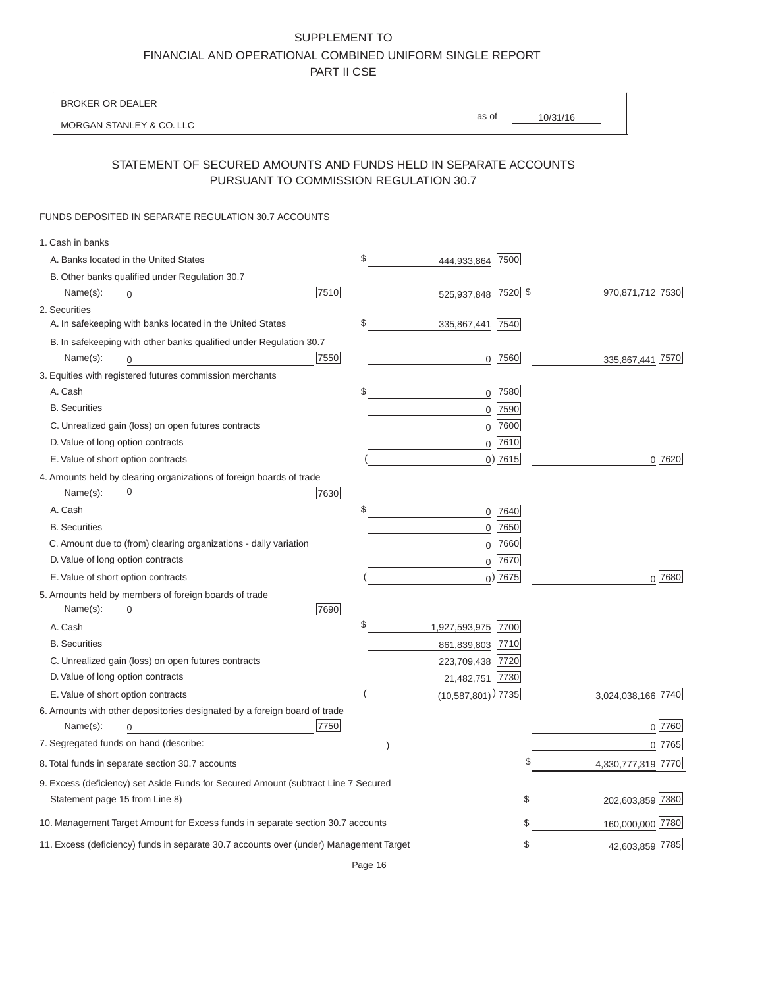BROKER OR DEALER

MORGAN STANLEY & CO. LLC

10/31/16 as of

## STATEMENT OF SECURED AMOUNTS AND FUNDS HELD IN SEPARATE ACCOUNTS PURSUANT TO COMMISSION REGULATION 30.7

#### FUNDS DEPOSITED IN SEPARATE REGULATION 30.7 ACCOUNTS

| 1. Cash in banks                                                                       |                                  |             |                    |
|----------------------------------------------------------------------------------------|----------------------------------|-------------|--------------------|
| A. Banks located in the United States                                                  | \$<br>444,933,864                | 7500        |                    |
| B. Other banks qualified under Regulation 30.7                                         |                                  |             |                    |
| 7510<br>Name(s):                                                                       | 525,937,848 7520 \$              |             | 970,871,712 7530   |
| 2. Securities                                                                          |                                  |             |                    |
| A. In safekeeping with banks located in the United States                              | \$<br>335,867,441  7540          |             |                    |
| B. In safekeeping with other banks qualified under Regulation 30.7                     |                                  |             |                    |
| 7550<br>Name(s):<br>0                                                                  |                                  | $0$  7560   | 335,867,441 7570   |
| 3. Equities with registered futures commission merchants                               |                                  |             |                    |
| A. Cash                                                                                | \$<br>$\mathbf 0$                | 7580        |                    |
| <b>B.</b> Securities                                                                   |                                  | $0$ 7590    |                    |
| C. Unrealized gain (loss) on open futures contracts                                    |                                  | $0$ 7600    |                    |
| D. Value of long option contracts                                                      |                                  | $0$ 7610    |                    |
| E. Value of short option contracts                                                     |                                  | $0)$ 7615   | 0 7620             |
| 4. Amounts held by clearing organizations of foreign boards of trade                   |                                  |             |                    |
| Name(s):<br>7630                                                                       |                                  |             |                    |
| A. Cash                                                                                | \$                               | 0 7640      |                    |
| <b>B.</b> Securities                                                                   |                                  | $0$ 7650    |                    |
| C. Amount due to (from) clearing organizations - daily variation                       |                                  | $0$ 7660    |                    |
| D. Value of long option contracts                                                      |                                  | $0$ 7670    |                    |
| E. Value of short option contracts                                                     |                                  | $_0$ ) 7675 | 0 7680             |
| 5. Amounts held by members of foreign boards of trade                                  |                                  |             |                    |
| 7690<br>Name(s):                                                                       |                                  |             |                    |
| A. Cash                                                                                | \$<br>1,927,593,975 7700         |             |                    |
| <b>B.</b> Securities                                                                   | 861,839,803 7710                 |             |                    |
| C. Unrealized gain (loss) on open futures contracts                                    | 223,709,438 7720                 |             |                    |
| D. Value of long option contracts                                                      | 21,482,751 7730                  |             |                    |
| E. Value of short option contracts                                                     | $(10,587,801)$ <sup>[7735]</sup> |             | 3,024,038,166 7740 |
| 6. Amounts with other depositories designated by a foreign board of trade              |                                  |             |                    |
| 7750<br>Name(s):<br>$\Omega$                                                           |                                  |             | $0$ 7760           |
|                                                                                        |                                  |             | 0 7765             |
| 8. Total funds in separate section 30.7 accounts                                       |                                  |             | 4,330,777,319 7770 |
| 9. Excess (deficiency) set Aside Funds for Secured Amount (subtract Line 7 Secured     |                                  |             |                    |
| Statement page 15 from Line 8)                                                         |                                  | \$          | 202,603,859 7380   |
| 10. Management Target Amount for Excess funds in separate section 30.7 accounts        |                                  | \$          | 160,000,000 7780   |
| 11. Excess (deficiency) funds in separate 30.7 accounts over (under) Management Target |                                  | \$          | 42,603,859 7785    |